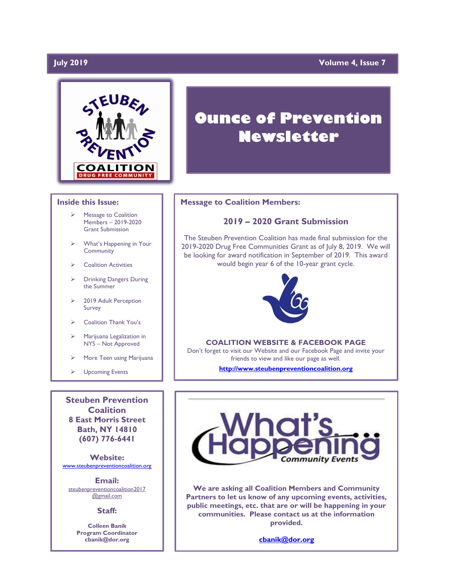# **July 2019**

# **Volume 4, Issue 7**



### **Inside this Issue:**

- Message to Coalition Members – 2019-2020 Grant Submission
- ➢ What's Happening in Your Community
- ➢ Coalition Activities
- ➢ Drinking Dangers During the Summer
- ➢ 2019 Adult Perception Survey
- ➢ Coalition Thank You's
- ➢ Marijuana Legalization in NYS – Not Approved
- ➢ More Teen using Marijuana
- ➢ Upcoming Events

**Steuben Prevention Coalition 8 East Morris Street Bath, NY 14810 (607) 776-6441**

**Website:**  [www.steubenpreventioncoalition.org](http://www.steubenpreventioncoalition.org/)

**Email:**  steubenpreventioncoalition2017 @gmail.com

**Staff:**

**Colleen Banik Program Coordinator cbanik@dor.org**

# **Ounce of Prevention Newsletter**

### **Message to Coalition Members:**

# **2019 – 2020 Grant Submission**

The Steuben Prevention Coalition has made final submission for the 2019-2020 Drug Free Communities Grant as of July 8, 2019. We will be looking for award notification in September of 2019. This award would begin year 6 of the 10-year grant cycle.



### **COALITION WEBSITE & FACEBOOK PAGE**

Don't forget to visit our Website and our Facebook Page and invite your friends to view and like our page as well.

**[http://www.steubenpreventioncoalition.org](http://www.steubenpreventioncoalition.org/)**



**We are asking all Coalition Members and Community Partners to let us know of any upcoming events, activities, public meetings, etc. that are or will be happening in your communities. Please contact us at the information provided.**

**[cbanik@dor.org](mailto:cbanik@dor.org)**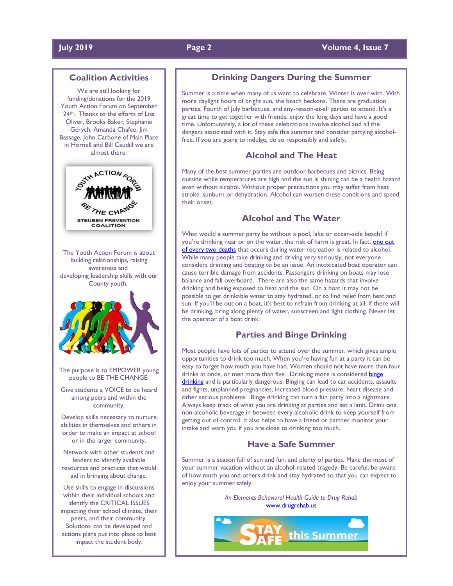# **July 2019 Page 2 Volume 4, Issue 7**

### **Coalition Activities**

We are still looking for funding/donations for the 2019 Youth Action Forum on September 24<sup>th</sup>. Thanks to the efforts of Lisa Oliver, Brooks Baker, Stephanie Gerych, Amanda Chafee, Jim Bassage, John Carbone of Main Place in Hornell and Bill Caudill we are almost there.



The Youth Action Forum is about building relationships, raising awareness and developing leadership skills with our County youth.



The purpose is to EMPOWER young people to BE THE CHANGE.

Give students a VOICE to be heard among peers and within the community.

Develop skills necessary to nurture abilities in themselves and others in order to make an impact at school or in the larger community.

Network with other students and leaders to identify available resources and practices that would aid in bringing about change.

Use skills to engage in discussions within their individual schools and identify the CRITICAL ISSUES impacting their school climate, their peers, and their community. Solutions can be developed and actions plans put into place to best impact the student body.

# **Drinking Dangers During the Summer**

Summer is a time when many of us want to celebrate. Winter is over with. With more daylight hours of bright sun, the beach beckons. There are graduation parties, Fourth of July barbecues, and any-reason-at-all parties to attend. It's a great time to get together with friends, enjoy the long days and have a good time. Unfortunately, a lot of these celebrations involve alcohol and all the dangers associated with it. Stay safe this summer and consider partying alcoholfree. If you are going to indulge, do so responsibly and safely.

### **Alcohol and The Heat**

Many of the best summer parties are outdoor barbecues and picnics. Being outside while temperatures are high and the sun is shining can be a health hazard even without alcohol. Without proper precautions you may suffer from heat stroke, sunburn or dehydration. Alcohol can worsen these conditions and speed their onset.

### **Alcohol and The Water**

What would a summer party be without a pool, lake or ocean-side beach? If you're drinking near or on the water, the risk of harm is great. In fact, one out [of every two deaths](http://pubs.niaaa.nih.gov/publications/SummerSafety/SummerSafety.htm) that occurs during water recreation is related to alcohol. While many people take drinking and driving very seriously, not everyone considers drinking and boating to be an issue. An intoxicated boat operator can cause terrible damage from accidents. Passengers drinking on boats may lose balance and fall overboard. There are also the same hazards that involve drinking and being exposed to heat and the sun. On a boat it may not be possible to get drinkable water to stay hydrated, or to find relief from heat and sun. If you'll be out on a boat, it's best to refrain from drinking at all. If there will be drinking, bring along plenty of water, sunscreen and light clothing. Never let the operator of a boat drink.

### **Parties and Binge Drinking**

Most people have lots of parties to attend over the summer, which gives ample opportunities to drink too much. When you're having fun at a party it can be easy to forget how much you have had. Women should not have more than four drinks at once, or men more than five. Drinking more is considered **binge** [drinking](http://www.cdc.gov/features/summertimesafety/) and is particularly dangerous. Binging can lead to car accidents, assaults and fights, unplanned pregnancies, increased blood pressure, heart disease and other serious problems. Binge drinking can turn a fun party into a nightmare. Always keep track of what you are drinking at parties and set a limit. Drink one non-alcoholic beverage in between every alcoholic drink to keep yourself from getting out of control. It also helps to have a friend or partner monitor your intake and warn you if you are close to drinking too much.

### **Have a Safe Summer**

Summer is a season full of sun and fun, and plenty of parties. Make the most of your summer vacation without an alcohol-related tragedy. Be careful, be aware of how much you and others drink and stay hydrated so that you can expect to enjoy your summer safely.

> *An Elements Behavioral Health Guide to Drug Rehab* [www.drugrehab.us](http://www.drugrehab.us/)

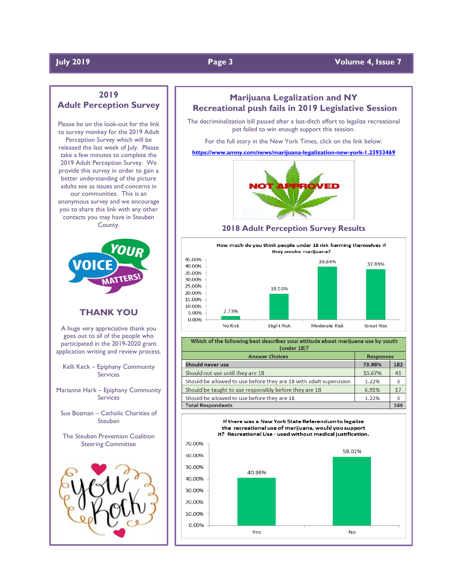# **July 2019 Page 3 Volume 4, Issue 7**

# **2019 Adult Perception Survey**

Please be on the look-out for the link to survey monkey for the 2019 Adult Perception Survey which will be released the last week of July. Please take a few minutes to complete the 2019 Adult Perception Survey. We provide this survey in order to gain a better understanding of the picture adults see as issues and concerns in our communities. This is an anonymous survey and we encourage you to share this link with any other contacts you may have in Steuben County.



# **THANK YOU**

A huge very appreciative thank you goes out to all of the people who participated in the 2019-2020 grant application writing and review process.

Kelli Keck – Epiphany Community **Services** 

Marianne Hark – Epiphany Community Services

Sue Bozman – Catholic Charities of **Steuben** 

The Steuben Prevention Coalition Steering Committee



# **Marijuana Legalization and NY Recreational push fails in 2019 Legislative Session**

The decriminalization bill passed after a last-ditch effort to legalize recreational pot failed to win enough support this session.

For the full story in the New York Times, click on the link below:

**<https://www.amny.com/news/marijuana-legalization-new-york-1.23933469>**



### **2018 Adult Perception Survey Results**





Which of the following best describes your attitude about marijuana use by youth  $funder 1812$ 

| <b>Answer Choices</b>                                              | <b>Responses</b> |     |  |  |  |  |  |  |  |  |  |
|--------------------------------------------------------------------|------------------|-----|--|--|--|--|--|--|--|--|--|
| Should never use                                                   | 73.98%           | 182 |  |  |  |  |  |  |  |  |  |
| Should not use until they are 18                                   | 16.67%           | 41  |  |  |  |  |  |  |  |  |  |
| Should be allowed to use before they are 18 with adult supervision | 1.22%            | 3   |  |  |  |  |  |  |  |  |  |
| Should be taught to use responsibly before they are 18             | 6.91%            | 17  |  |  |  |  |  |  |  |  |  |
| Should be allowed to use before they are 18                        | 1.22%            | 3   |  |  |  |  |  |  |  |  |  |
| <b>Total Respondents</b>                                           |                  |     |  |  |  |  |  |  |  |  |  |

If there was a New York State Referendum to legalize the recreational use of marijuana, would you support it? Recreational Use - used without medical justification.